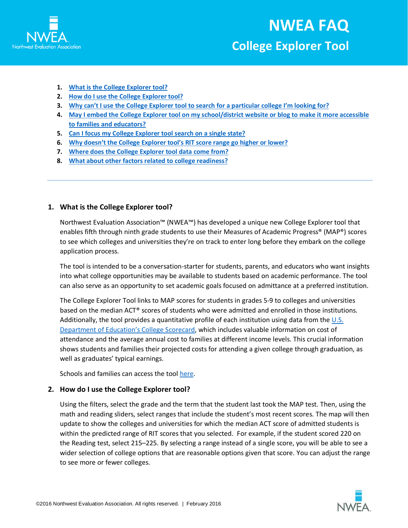

- **1. [What is the College Explorer tool?](#page-0-0)**
- **2. [How do I use the College Explorer tool?](#page-0-1)**
- **3. [Why can't I use the College Explorer tool to search for a particular college I'm looking for?](#page-1-0)**
- **4. May [I embed the College Explorer tool on my school/district website](#page-1-1) or blog to make it more accessible [to families and educators?](#page-1-1)**
- **5. [Can I focus my College Explorer tool search on a single state?](#page-1-2)**
- **6. [Why doesn't the College Explorer tool's RIT score range go higher or lower?](#page-2-0)**
- **7. [Where does the College Explorer tool data come from?](#page-2-1)**
- **8. [What about other factors related to college readiness?](#page-2-2)**

## <span id="page-0-0"></span>**1. What is the College Explorer tool?**

[Northwest Evaluation Association™](https://www.nwea.org/) (NWEA™) has developed a unique new College Explorer tool that enables fifth through ninth grade students to use their Measures of Academic Progress® (MAP®) scores to see which colleges and universities they're on track to enter long before they embark on the college application process.

The tool is intended to be a conversation-starter for students, parents, and educators who want insights into what college opportunities may be available to students based on academic performance. The tool can also serve as an opportunity to set academic goals focused on admittance at a preferred institution.

The College Explorer Tool links to MAP scores for students in grades 5-9 to colleges and universities based on the median ACT® scores of students who were admitted and enrolled in those institutions. Additionally, the tool provides a quantitative profile of each institution using data from the  $U.S.$ [Department of Education's College Scorecard,](https://collegescorecard.ed.gov/) which includes valuable information on cost of attendance and the average annual cost to families at different income levels. This crucial information shows students and families their projected costs for attending a given college through graduation, as well as graduates' typical earnings.

Schools and families can access the tool [here.](https://www.nwea.org/CollegeExplorer)

#### <span id="page-0-1"></span>**2. How do I use the College Explorer tool?**

Using the filters, select the grade and the term that the student last took the MAP test. Then, using the math and reading sliders, select ranges that include the student's most recent scores. The map will then update to show the colleges and universities for which the median ACT score of admitted students is within the predicted range of RIT scores that you selected. For example, if the student scored 220 on the Reading test, select 215–225. By selecting a range instead of a single score, you will be able to see a wider selection of college options that are reasonable options given that score. You can adjust the range to see more or fewer colleges.

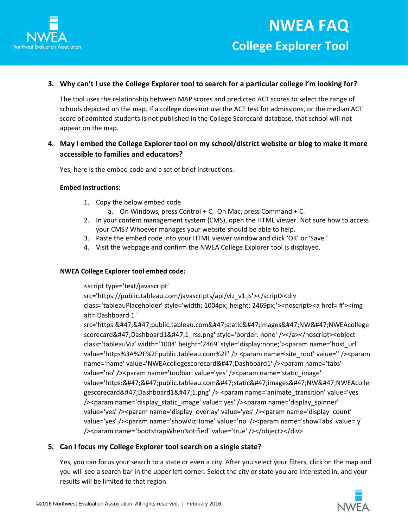

# <span id="page-1-0"></span>**3. Why can't I use the College Explorer tool to search for a particular college I'm looking for?**

The tool uses the relationship between MAP scores and predicted ACT scores to select the range of schools depicted on the map. If a college does not use the ACT test for admissions, or the median ACT score of admitted students is not published in the College Scorecard database, that school will not appear on the map.

# <span id="page-1-1"></span>**4. May I embed the College Explorer tool on my school/district website or blog to make it more accessible to families and educators?**

Yes; here is the embed code and a set of brief instructions.

#### **Embed instructions:**

- 1. Copy the below embed code
	- a. On Windows, press Control + C. On Mac, press Command + C.
- 2. In your content management system (CMS), open the HTML viewer. Not sure how to access your CMS? Whoever manages your website should be able to help.
- 3. Paste the embed code into your HTML viewer window and click 'OK' or 'Save.'
- 4. Visit the webpage and confirm the NWEA College Explorer tool is displayed.

#### **NWEA College Explorer tool embed code:**

#### <script type='text/javascript'

src='https://public.tableau.com/javascripts/api/viz\_v1.js'></script><div

class='tableauPlaceholder' style='width: 1004px; height: 2469px;'><noscript><a href='#'><img alt='Dashboard 1 '

src='https://public.tableau.com/static/images/NW/NWEAcollege scorecard/Dashboard1/1\_rss.png' style='border: none' /></a></noscript><object class='tableauViz' width='1004' height='2469' style='display:none;'><param name='host\_url' value='https%3A%2F%2Fpublic.tableau.com%2F' /> <param name='site\_root' value='' /><param name='name' value='NWEAcollegescorecard/Dashboard1' /><param name='tabs' value='no' /><param name='toolbar' value='yes' /><param name='static\_image' value='https://public.tableau.com/static/images/NW/NWEAcolle gescorecard/Dashboard1/1.png' /> <param name='animate\_transition' value='yes' /><param name='display\_static\_image' value='yes' /><param name='display\_spinner' value='yes' /><param name='display\_overlay' value='yes' /><param name='display\_count' value='yes' /><param name='showVizHome' value='no' /><param name='showTabs' value='y' /><param name='bootstrapWhenNotified' value='true' /></object></div>

## <span id="page-1-2"></span>**5. Can I focus my College Explorer tool search on a single state?**

Yes, you can focus your search to a state or even a city. After you select your filters, click on the map and you will see a search bar in the upper left corner. Select the city or state you are interested in, and your results will be limited to that region.